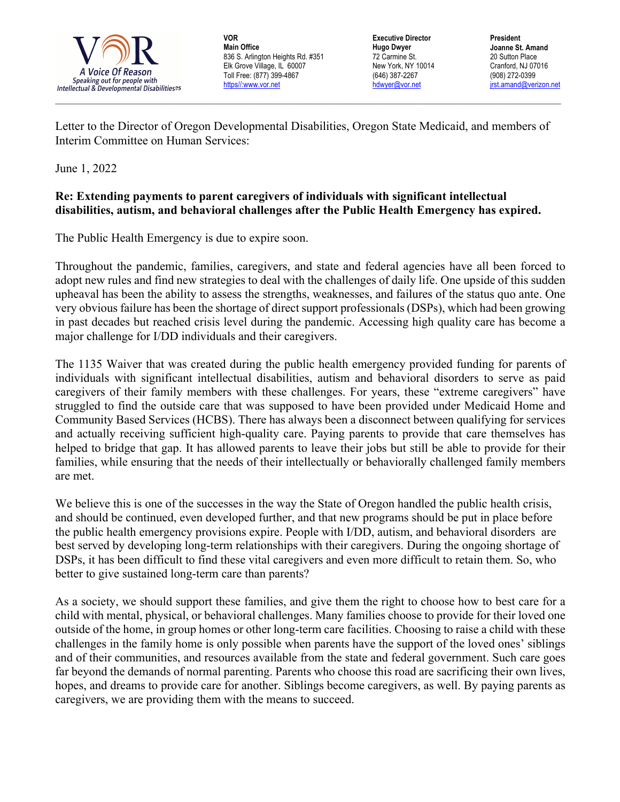

**VOR Main Office** 836 S. Arlington Heights Rd. #351 Elk Grove Village, IL 60007 Toll Free: (877) 399-4867 https//:www.vor.net

**Executive Director Hugo Dwyer** 72 Carmine St. New York, NY 10014 (646) 387-2267 hdwyer@vor.net

**President Joanne St. Amand** 20 Sutton Place Cranford, NJ 07016 (908) 272-0399 jrst.amand@verizon.net

Letter to the Director of Oregon Developmental Disabilities, Oregon State Medicaid, and members of Interim Committee on Human Services:

 $\_$  , and the state of the state of the state of the state of the state of the state of the state of the state of the state of the state of the state of the state of the state of the state of the state of the state of the

June 1, 2022

## **Re: Extending payments to parent caregivers of individuals with significant intellectual disabilities, autism, and behavioral challenges after the Public Health Emergency has expired.**

The Public Health Emergency is due to expire soon.

Throughout the pandemic, families, caregivers, and state and federal agencies have all been forced to adopt new rules and find new strategies to deal with the challenges of daily life. One upside of this sudden upheaval has been the ability to assess the strengths, weaknesses, and failures of the status quo ante. One very obvious failure has been the shortage of direct support professionals (DSPs), which had been growing in past decades but reached crisis level during the pandemic. Accessing high quality care has become a major challenge for I/DD individuals and their caregivers.

The 1135 Waiver that was created during the public health emergency provided funding for parents of individuals with significant intellectual disabilities, autism and behavioral disorders to serve as paid caregivers of their family members with these challenges. For years, these "extreme caregivers" have struggled to find the outside care that was supposed to have been provided under Medicaid Home and Community Based Services (HCBS). There has always been a disconnect between qualifying for services and actually receiving sufficient high-quality care. Paying parents to provide that care themselves has helped to bridge that gap. It has allowed parents to leave their jobs but still be able to provide for their families, while ensuring that the needs of their intellectually or behaviorally challenged family members are met.

We believe this is one of the successes in the way the State of Oregon handled the public health crisis, and should be continued, even developed further, and that new programs should be put in place before the public health emergency provisions expire. People with I/DD, autism, and behavioral disorders are best served by developing long-term relationships with their caregivers. During the ongoing shortage of DSPs, it has been difficult to find these vital caregivers and even more difficult to retain them. So, who better to give sustained long-term care than parents?

As a society, we should support these families, and give them the right to choose how to best care for a child with mental, physical, or behavioral challenges. Many families choose to provide for their loved one outside of the home, in group homes or other long-term care facilities. Choosing to raise a child with these challenges in the family home is only possible when parents have the support of the loved ones' siblings and of their communities, and resources available from the state and federal government. Such care goes far beyond the demands of normal parenting. Parents who choose this road are sacrificing their own lives, hopes, and dreams to provide care for another. Siblings become caregivers, as well. By paying parents as caregivers, we are providing them with the means to succeed.